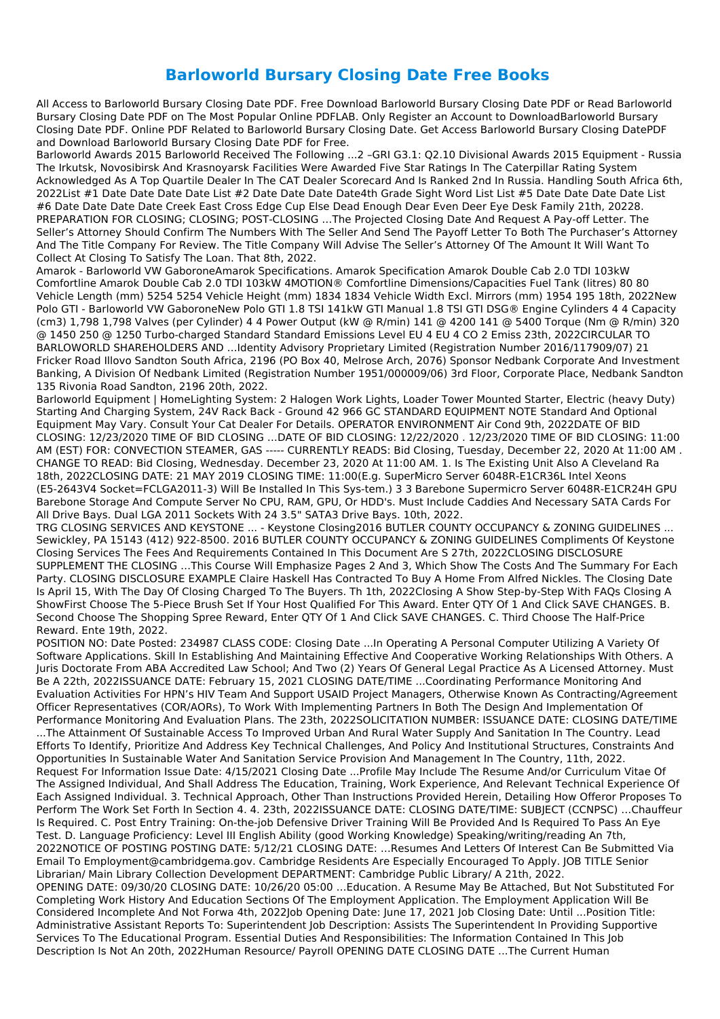## **Barloworld Bursary Closing Date Free Books**

All Access to Barloworld Bursary Closing Date PDF. Free Download Barloworld Bursary Closing Date PDF or Read Barloworld Bursary Closing Date PDF on The Most Popular Online PDFLAB. Only Register an Account to DownloadBarloworld Bursary Closing Date PDF. Online PDF Related to Barloworld Bursary Closing Date. Get Access Barloworld Bursary Closing DatePDF and Download Barloworld Bursary Closing Date PDF for Free.

Barloworld Awards 2015 Barloworld Received The Following ...2 –GRI G3.1: Q2.10 Divisional Awards 2015 Equipment - Russia The Irkutsk, Novosibirsk And Krasnoyarsk Facilities Were Awarded Five Star Ratings In The Caterpillar Rating System Acknowledged As A Top Quartile Dealer In The CAT Dealer Scorecard And Is Ranked 2nd In Russia. Handling South Africa 6th, 2022List #1 Date Date Date Date List #2 Date Date Date Date4th Grade Sight Word List List #5 Date Date Date Date List #6 Date Date Date Date Creek East Cross Edge Cup Else Dead Enough Dear Even Deer Eye Desk Family 21th, 20228. PREPARATION FOR CLOSING; CLOSING; POST-CLOSING …The Projected Closing Date And Request A Pay-off Letter. The Seller's Attorney Should Confirm The Numbers With The Seller And Send The Payoff Letter To Both The Purchaser's Attorney And The Title Company For Review. The Title Company Will Advise The Seller's Attorney Of The Amount It Will Want To Collect At Closing To Satisfy The Loan. That 8th, 2022.

Amarok - Barloworld VW GaboroneAmarok Specifications. Amarok Specification Amarok Double Cab 2.0 TDI 103kW Comfortline Amarok Double Cab 2.0 TDI 103kW 4MOTION® Comfortline Dimensions/Capacities Fuel Tank (litres) 80 80 Vehicle Length (mm) 5254 5254 Vehicle Height (mm) 1834 1834 Vehicle Width Excl. Mirrors (mm) 1954 195 18th, 2022New Polo GTI - Barloworld VW GaboroneNew Polo GTI 1.8 TSI 141kW GTI Manual 1.8 TSI GTI DSG® Engine Cylinders 4 4 Capacity (cm3) 1,798 1,798 Valves (per Cylinder) 4 4 Power Output (kW @ R/min) 141 @ 4200 141 @ 5400 Torque (Nm @ R/min) 320 @ 1450 250 @ 1250 Turbo-charged Standard Standard Emissions Level EU 4 EU 4 CO 2 Emiss 23th, 2022CIRCULAR TO BARLOWORLD SHAREHOLDERS AND …Identity Advisory Proprietary Limited (Registration Number 2016/117909/07) 21 Fricker Road Illovo Sandton South Africa, 2196 (PO Box 40, Melrose Arch, 2076) Sponsor Nedbank Corporate And Investment Banking, A Division Of Nedbank Limited (Registration Number 1951/000009/06) 3rd Floor, Corporate Place, Nedbank Sandton 135 Rivonia Road Sandton, 2196 20th, 2022.

Barloworld Equipment | HomeLighting System: 2 Halogen Work Lights, Loader Tower Mounted Starter, Electric (heavy Duty) Starting And Charging System, 24V Rack Back - Ground 42 966 GC STANDARD EQUIPMENT NOTE Standard And Optional Equipment May Vary. Consult Your Cat Dealer For Details. OPERATOR ENVIRONMENT Air Cond 9th, 2022DATE OF BID CLOSING: 12/23/2020 TIME OF BID CLOSING …DATE OF BID CLOSING: 12/22/2020 . 12/23/2020 TIME OF BID CLOSING: 11:00 AM (EST) FOR: CONVECTION STEAMER, GAS ----- CURRENTLY READS: Bid Closing, Tuesday, December 22, 2020 At 11:00 AM . CHANGE TO READ: Bid Closing, Wednesday. December 23, 2020 At 11:00 AM. 1. Is The Existing Unit Also A Cleveland Ra 18th, 2022CLOSING DATE: 21 MAY 2019 CLOSING TIME: 11:00(E.g. SuperMicro Server 6048R-E1CR36L Intel Xeons (E5-2643V4 Socket=FCLGA2011-3) Will Be Installed In This Sys-tem.) 3 3 Barebone Supermicro Server 6048R-E1CR24H GPU Barebone Storage And Compute Server No CPU, RAM, GPU, Or HDD's. Must Include Caddies And Necessary SATA Cards For All Drive Bays. Dual LGA 2011 Sockets With 24 3.5" SATA3 Drive Bays. 10th, 2022.

TRG CLOSING SERVICES AND KEYSTONE ... - Keystone Closing2016 BUTLER COUNTY OCCUPANCY & ZONING GUIDELINES ... Sewickley, PA 15143 (412) 922-8500. 2016 BUTLER COUNTY OCCUPANCY & ZONING GUIDELINES Compliments Of Keystone Closing Services The Fees And Requirements Contained In This Document Are S 27th, 2022CLOSING DISCLOSURE SUPPLEMENT THE CLOSING …This Course Will Emphasize Pages 2 And 3, Which Show The Costs And The Summary For Each Party. CLOSING DISCLOSURE EXAMPLE Claire Haskell Has Contracted To Buy A Home From Alfred Nickles. The Closing Date Is April 15, With The Day Of Closing Charged To The Buyers. Th 1th, 2022Closing A Show Step-by-Step With FAQs Closing A ShowFirst Choose The 5-Piece Brush Set If Your Host Qualified For This Award. Enter QTY Of 1 And Click SAVE CHANGES. B. Second Choose The Shopping Spree Reward, Enter QTY Of 1 And Click SAVE CHANGES. C. Third Choose The Half-Price Reward. Ente 19th, 2022.

POSITION NO: Date Posted: 234987 CLASS CODE: Closing Date ...In Operating A Personal Computer Utilizing A Variety Of Software Applications. Skill In Establishing And Maintaining Effective And Cooperative Working Relationships With Others. A Juris Doctorate From ABA Accredited Law School; And Two (2) Years Of General Legal Practice As A Licensed Attorney. Must Be A 22th, 2022ISSUANCE DATE: February 15, 2021 CLOSING DATE/TIME ...Coordinating Performance Monitoring And Evaluation Activities For HPN's HIV Team And Support USAID Project Managers, Otherwise Known As Contracting/Agreement Officer Representatives (COR/AORs), To Work With Implementing Partners In Both The Design And Implementation Of Performance Monitoring And Evaluation Plans. The 23th, 2022SOLICITATION NUMBER: ISSUANCE DATE: CLOSING DATE/TIME ...The Attainment Of Sustainable Access To Improved Urban And Rural Water Supply And Sanitation In The Country. Lead Efforts To Identify, Prioritize And Address Key Technical Challenges, And Policy And Institutional Structures, Constraints And Opportunities In Sustainable Water And Sanitation Service Provision And Management In The Country, 11th, 2022. Request For Information Issue Date: 4/15/2021 Closing Date ...Profile May Include The Resume And/or Curriculum Vitae Of The Assigned Individual, And Shall Address The Education, Training, Work Experience, And Relevant Technical Experience Of Each Assigned Individual. 3. Technical Approach, Other Than Instructions Provided Herein, Detailing How Offeror Proposes To Perform The Work Set Forth In Section 4. 4. 23th, 2022ISSUANCE DATE: CLOSING DATE/TIME: SUBJECT (CCNPSC) …Chauffeur Is Required. C. Post Entry Training: On-the-job Defensive Driver Training Will Be Provided And Is Required To Pass An Eye Test. D. Language Proficiency: Level III English Ability (good Working Knowledge) Speaking/writing/reading An 7th, 2022NOTICE OF POSTING POSTING DATE: 5/12/21 CLOSING DATE: …Resumes And Letters Of Interest Can Be Submitted Via Email To Employment@cambridgema.gov. Cambridge Residents Are Especially Encouraged To Apply. JOB TITLE Senior Librarian/ Main Library Collection Development DEPARTMENT: Cambridge Public Library/ A 21th, 2022. OPENING DATE: 09/30/20 CLOSING DATE: 10/26/20 05:00 …Education. A Resume May Be Attached, But Not Substituted For Completing Work History And Education Sections Of The Employment Application. The Employment Application Will Be Considered Incomplete And Not Forwa 4th, 2022Job Opening Date: June 17, 2021 Job Closing Date: Until ...Position Title: Administrative Assistant Reports To: Superintendent Job Description: Assists The Superintendent In Providing Supportive Services To The Educational Program. Essential Duties And Responsibilities: The Information Contained In This Job Description Is Not An 20th, 2022Human Resource/ Payroll OPENING DATE CLOSING DATE ...The Current Human